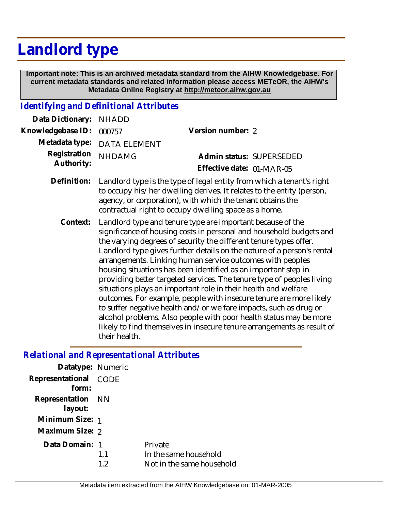## **Landlord type**

 **Important note: This is an archived metadata standard from the AIHW Knowledgebase. For current metadata standards and related information please access METeOR, the AIHW's Metadata Online Registry at http://meteor.aihw.gov.au**

## *Identifying and Definitional Attributes*

| Data Dictionary:           | <b>NHADD</b>                                                                                                                                                                                                                                                          |                                                                                                                                                                                                                                                                                                                                                                                                                                                                                                                                                                                                                                  |  |
|----------------------------|-----------------------------------------------------------------------------------------------------------------------------------------------------------------------------------------------------------------------------------------------------------------------|----------------------------------------------------------------------------------------------------------------------------------------------------------------------------------------------------------------------------------------------------------------------------------------------------------------------------------------------------------------------------------------------------------------------------------------------------------------------------------------------------------------------------------------------------------------------------------------------------------------------------------|--|
| Knowledgebase ID:          | 000757                                                                                                                                                                                                                                                                | Version number: 2                                                                                                                                                                                                                                                                                                                                                                                                                                                                                                                                                                                                                |  |
| Metadata type:             | <b>DATA ELEMENT</b>                                                                                                                                                                                                                                                   |                                                                                                                                                                                                                                                                                                                                                                                                                                                                                                                                                                                                                                  |  |
| Registration<br>Authority: | <b>NHDAMG</b>                                                                                                                                                                                                                                                         | Admin status: SUPERSEDED<br>Effective date: 01-MAR-05                                                                                                                                                                                                                                                                                                                                                                                                                                                                                                                                                                            |  |
| Definition:                | Landlord type is the type of legal entity from which a tenant's right<br>to occupy his/her dwelling derives. It relates to the entity (person,<br>agency, or corporation), with which the tenant obtains the<br>contractual right to occupy dwelling space as a home. |                                                                                                                                                                                                                                                                                                                                                                                                                                                                                                                                                                                                                                  |  |
| Context:                   |                                                                                                                                                                                                                                                                       | Landlord type and tenure type are important because of the<br>significance of housing costs in personal and household budgets and<br>the varying degrees of security the different tenure types offer.<br>Landlord type gives further details on the nature of a person's rental<br>arrangements. Linking human service outcomes with peoples<br>housing situations has been identified as an important step in<br>providing better targeted services. The tenure type of peoples living<br>situations plays an important role in their health and welfare<br>outcomes. For example, people with insecure tenure are more likely |  |

to suffer negative health and/or welfare impacts, such as drug or alcohol problems. Also people with poor health status may be more likely to find themselves in insecure tenure arrangements as result of their health.

## *Relational and Representational Attributes*

| Datatype: Numeric            |           |                                                               |
|------------------------------|-----------|---------------------------------------------------------------|
| Representational<br>form:    | CODE      |                                                               |
| Representation NN<br>layout: |           |                                                               |
| Minimum Size: 1              |           |                                                               |
| Maximum Size: 2              |           |                                                               |
| Data Domain: 1               | 1.1<br>19 | Private<br>In the same household<br>Not in the same household |